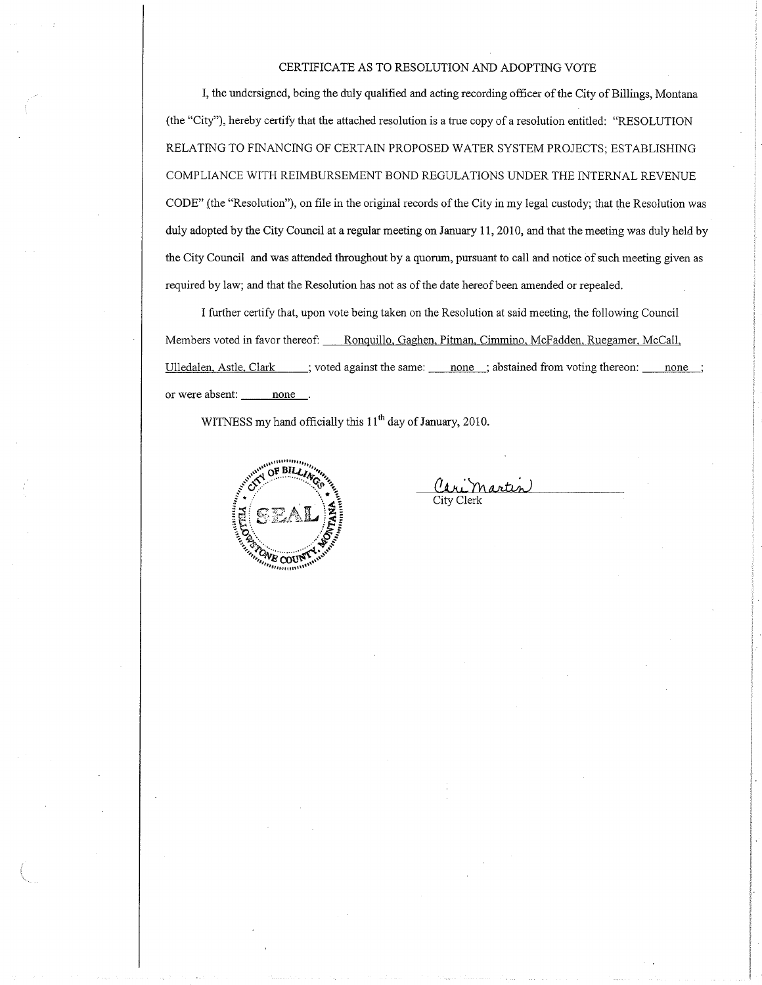#### CERTIFICATE AS TO RESOLUTION AND ADOPTING VOTE

I, the undersigned, being the duly qualified and acting recording officer of the City of Billings, Montana (the "City"), hereby certify that the attached resolution is a true copy of a resolution entitled: "RESOLUTION RELATING TO FINANCING OF CERTAIN PROPOSED WATER SYSTEM PROJECTS; ESTABLISHING COMPLIANCE WITH REIMBURSEMENT BOND REGULATIONS UNDER THE INTERNAL REVENUE CODE" (the "Resolution"), on file in the original records of the City in my legal custody; that the Resolution was duly adopted by the City Council at a regular meeting on January 11, 2010, and that the meeting was duly held by the City Council and was attended throughout by a quorum, pursuant to call and notice of such meeting given as required by law; and that the Resolution has not as of the date hereof been amended or repealed.

I further certify that, upon vote being taken on the Resolution at said meeting, the following Council Members voted in favor thereof: Ronquillo, Gaghen, Pitman, Cimmino, McFadden, Ruegamer, McCall, Ulledalen, Astle, Clark ; voted against the same: none ; abstained from voting thereon: none ; or were absent: none.

WITNESS my hand officially this  $11<sup>th</sup>$  day of January, 2010.



Cari Martin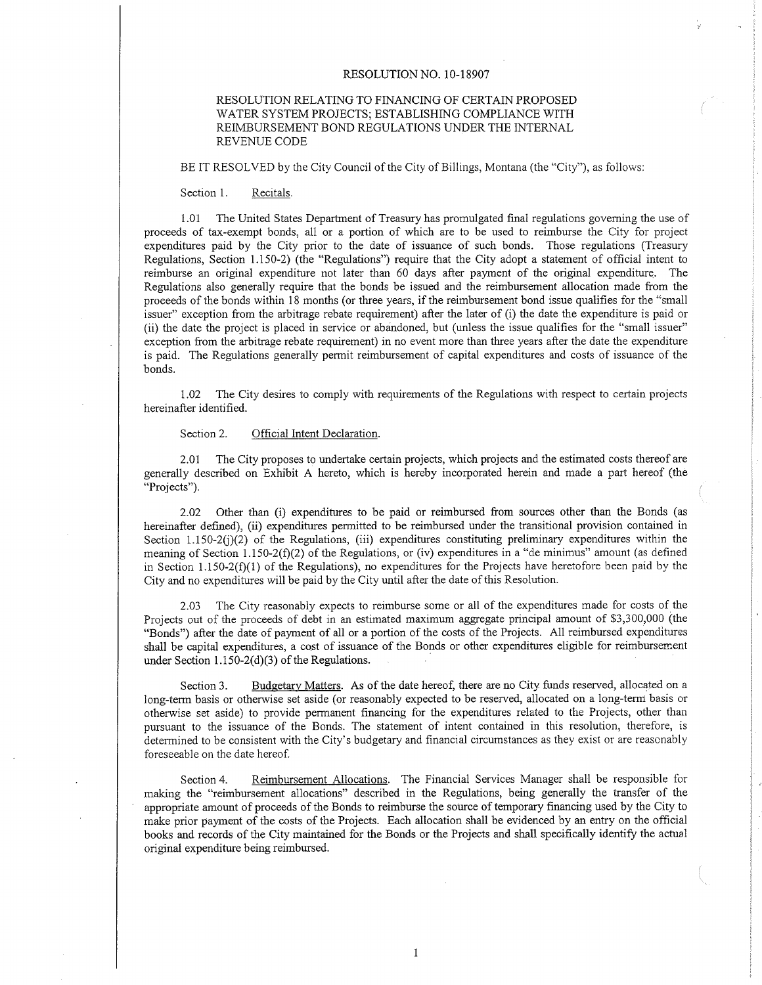#### RESOLUTION NO. 10-18907

### RESOLUTION RELATING TO FINANCING OF CERTAIN PROPOSED WATER SYSTEM PROJECTS; ESTABLISHING COMPLIANCE WITH REIMBURSEMENT BOND REGULATIONS UNDER THE INTERNAL REVENUE CODE

BE IT RESOLVED by the City Council of the City of Billings, Montana (the "City"), as follows

Section 1. Recitals.

<sup>1</sup>.01 The United States Department of Treasury has promulgated final regulations goveming the use of proceeds of tax-exempt bonds, all or a portion of which are to be used to reimburse the City for project expenditures paid by the City prior to the date of issuance of such bonds. Those reguiations (Treasury Regulations, Section 1.150-2) (the "Regulations") require that the City adopt a statement of official intent to reimburse an original expenditure not later than 60 days after payment of the original expenditure. The Regulations also generally require that the bonds be issued and the reimbursement allocation made from the proceeds of the bonds within 18 months (or three years, if the reimbursement bond issue qualifies for the "small issuer" exception from the arbitrage rebate requirement) after the later of (i) the date the expendirure is paid or (ii) the date the project is placed in service or abandoned, but (unless the issue qualifies for the "small issuer" exception from the arbitrage rebate requirement) in no event more than three years after the date the expenditure is paid. The Regulations generally permit reimbursement of capital expenditures and costs of issuance of the bonds.

1.02 The City desires to compiy with requirements of the Regulations with respect to certain projects hereinafter identified.

Section 2. Official Intent Declaration.

2.01 The City proposes to undertake certain projects, which projects and the estimated costs thereof are generally described on Exhibit A hereto, which is hereby incorporated herein and made a part hereof (the "Projects").

2.02 Other than (i) expenditures to be paid or reimbursed from sources other than the Bonds (as hereinafter defined), (ii) expenditures permitted to be reimbursed under the transitional provision contained in Section 1.150-2 $(j)(2)$  of the Regulations, (iii) expenditures constituting preliminary expenditures within the meaning of Section 1.150-2(f)(2) of the Regulations, or (iv) expenditures in a "de minimus" amount (as defined in Section 1.150-2( $f$ )(1) of the Regulations), no expenditures for the Projects have heretofore been paid by the City and no expenditures will be paid by the City until after the date of this Resolution.

2.03 The City reasonably expects to reimburse some or ail of the expenditures made for costs of the Projects out of the proceeds of debt in an estimated maximum aggregate principal amount of \$3,300,000 (the "Bonds") after the date of payment of all or a portion of the costs of the Projects. All reimbursed expenditures shall be capital expenditures, a cost of issuance of the Bonds or other expenditures eligible for reimbursenent under Section  $1.150-2(d)(3)$  of the Regulations.

Section 3. Budgetary Matters. As of the date hereof, there are no City funds reserved, allocated on a long-term basis or otherwise set aside (or reasonably expected to be reserved, allocated on a long-term basis or otherwise set aside) to provide permanent financing for the expenditures related to the Projects, other than pursuant to the issuance of the Bonds. The statement of intent contained in this resolution, therefore, is determined to be consistent with the City's budgetary and financial circumstances as they exist or are reasonably foreseeable on the date hereof.

Section 4. Reimbursement Allocations. The Financial Services Manager shall be responsible for making the "reimbursement allocations" described in the Regulations, being generally the transfer of the appropriate amount of proceeds of the Bonds to reimbwse the source of temporary financing used by the City to make prior payment of the costs of the Projects. Each allocation shall be evidenced by an entry on the official books and records of the City maintained for the Bonds or the Projects and shall specifically identiff the actual original expenditure beíng reimbursed.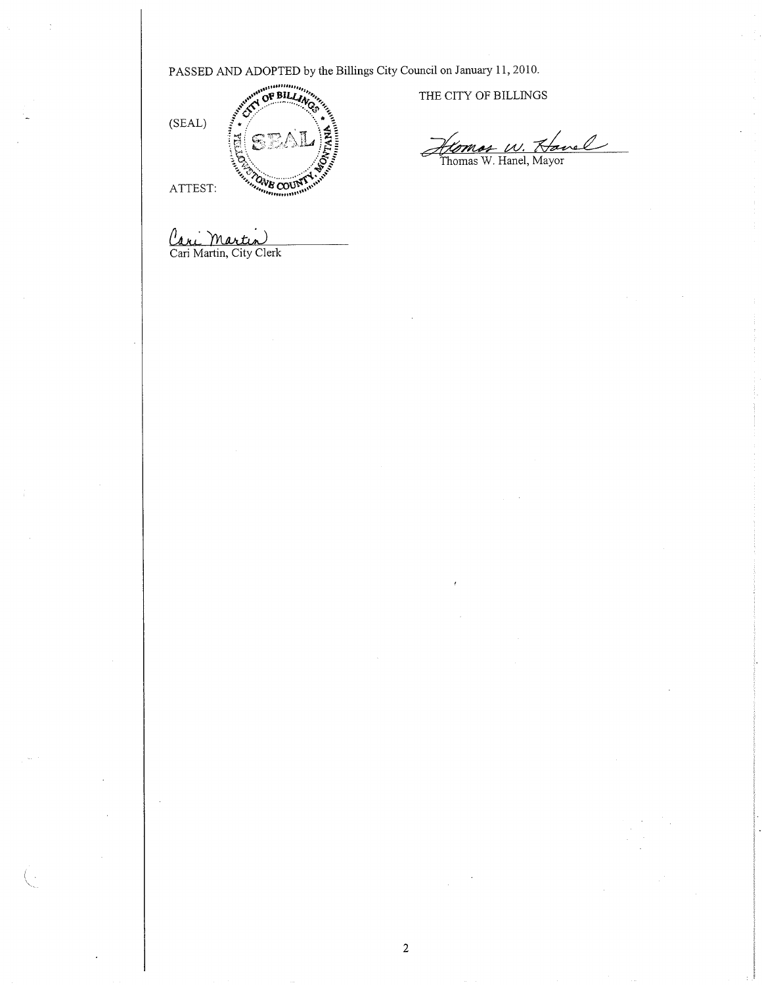PASSED AND ADOPTED by the Billings City Council on January 11, 2010.



THE CITY OF BILLINGS

Homos W. Hanel

Cari Martin